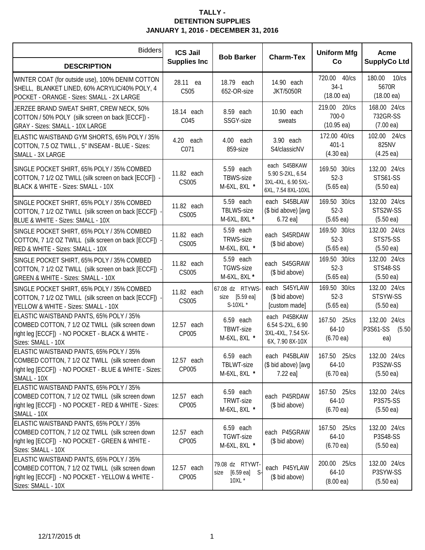| <b>Bidders</b>                                                                                                                                                       | <b>ICS Jail</b><br><b>Supplies Inc</b> | <b>Bob Barker</b>                                           | <b>Charm-Tex</b>                                                             | <b>Uniform Mfg</b><br>Co                         | Acme<br><b>SupplyCo Ltd</b>                            |
|----------------------------------------------------------------------------------------------------------------------------------------------------------------------|----------------------------------------|-------------------------------------------------------------|------------------------------------------------------------------------------|--------------------------------------------------|--------------------------------------------------------|
| <b>DESCRIPTION</b>                                                                                                                                                   |                                        |                                                             |                                                                              |                                                  |                                                        |
| WINTER COAT (for outside use), 100% DENIM COTTON<br>SHELL, BLANKET LINED, 60% ACRYLIC/40% POLY, 4<br>POCKET - ORANGE - Sizes: SMALL - 2X LARGE                       | 28.11 ea<br>C505                       | 18.79 each<br>652-OR-size                                   | 14.90 each<br><b>JKT/5050R</b>                                               | 720.00 40/cs<br>$34-1$<br>$(18.00 \text{ ea})$   | 180.00 10/cs<br>5670R<br>$(18.00 \text{ ea})$          |
| JERZEE BRAND SWEAT SHIRT, CREW NECK, 50%<br>COTTON / 50% POLY (silk screen on back [ECCF]) -<br>GRAY - Sizes: SMALL - 10X LARGE                                      | 18.14 each<br>C045                     | 8.59 each<br>SSGY-size                                      | 10.90 each<br>sweats                                                         | 219.00 20/cs<br>700-0<br>$(10.95 \text{ ea})$    | 168.00 24/cs<br>732GR-SS<br>$(7.00 \text{ ea})$        |
| ELASTIC WAISTBAND GYM SHORTS, 65% POLY / 35%<br>COTTON, 7.5 OZ TWILL, 5" INSEAM - BLUE - Sizes:<br>SMALL - 3X LARGE                                                  | 4.20 each<br>C071                      | 4.00 each<br>859-size                                       | 3.90 each<br>S4/classicNV                                                    | 172.00 40/cs<br>$401 - 1$<br>$(4.30 \text{ ea})$ | 102.00 24/cs<br>825NV<br>$(4.25 \text{ ea})$           |
| SINGLE POCKET SHIRT, 65% POLY / 35% COMBED<br>COTTON, 7 1/2 OZ TWILL (silk screen on back [ECCF]) -<br>BLACK & WHITE - Sizes: SMALL - 10X                            | 11.82 each<br>CS005                    | 5.59 each<br>TBWS-size<br>M-6XL, 8XL *                      | each S45BKAW<br>5.90 S-2XL, 6.54<br>3XL-4XL, 6.90 5XL-<br>6XL, 7.54 8XL-10XL | 169.50 30/cs<br>$52-3$<br>$(5.65 \text{ ea})$    | 132.00 24/cs<br><b>STS61-SS</b><br>(5.50ea)            |
| SINGLE POCKET SHIRT, 65% POLY / 35% COMBED<br>COTTON, 7 1/2 OZ TWILL (silk screen on back [ECCF]) -<br>BLUE & WHITE - Sizes: SMALL - 10X                             | 11.82 each<br>CS005                    | 5.59 each<br>TBLWS-size<br>M-6XL, 8XL *                     | each S45BLAW<br>(\$ bid above) [avg<br>6.72 ea]                              | 169.50 30/cs<br>$52-3$<br>$(5.65 \text{ ea})$    | 132.00 24/cs<br>STS2W-SS<br>$(5.50 \text{ ea})$        |
| SINGLE POCKET SHIRT, 65% POLY / 35% COMBED<br>COTTON, 7 1/2 OZ TWILL (silk screen on back [ECCF]) -<br>RED & WHITE - Sizes: SMALL - 10X                              | 11.82 each<br>CS005                    | 5.59 each<br>TRWS-size<br>M-6XL, 8XL *                      | each S45RDAW<br>(\$ bid above)                                               | 169.50 30/cs<br>$52-3$<br>$(5.65 \text{ ea})$    | 132.00 24/cs<br>STS75-SS<br>(5.50ea)                   |
| SINGLE POCKET SHIRT, 65% POLY / 35% COMBED<br>COTTON, 7 1/2 OZ TWILL (silk screen on back [ECCF])<br>GREEN & WHITE - Sizes: SMALL - 10X                              | 11.82 each<br>CS005                    | 5.59 each<br>TGWS-size<br>M-6XL, 8XL *                      | each S45GRAW<br>(\$ bid above)                                               | 169.50 30/cs<br>$52-3$<br>$(5.65 \text{ ea})$    | 132.00 24/cs<br><b>STS48-SS</b><br>$(5.50 \text{ ea})$ |
| SINGLE POCKET SHIRT, 65% POLY / 35% COMBED<br>COTTON, 7 1/2 OZ TWILL (silk screen on back [ECCF])<br>YELLOW & WHITE - Sizes: SMALL - 10X                             | 11.82 each<br>CS005                    | 67.08 dz RTYWS-<br>size [5.59 ea]<br>S-10XL *               | each S45YLAW<br>(\$ bid above)<br>[custom made]                              | 169.50 30/cs<br>$52-3$<br>$(5.65 \text{ ea})$    | 132.00 24/cs<br>STSYW-SS<br>(5.50ea)                   |
| ELASTIC WAISTBAND PANTS, 65% POLY / 35%<br>COMBED COTTON, 7 1/2 OZ TWILL (silk screen down<br>right leg [ECCF]) - NO POCKET - BLACK & WHITE -<br>Sizes: SMALL - 10X  | 12.57 each<br>CP005                    | 6.59 each<br>TBWT-size<br>M-6XL, 8XL *                      | each P45BKAW<br>6.54 S-2XL, 6.90<br>3XL-4XL, 7.54 5X-<br>6X, 7.90 8X-10X     | 167.50 25/cs<br>64-10<br>$(6.70 \text{ ea})$     | 132.00 24/cs<br>P3S61-SS<br>(5.50)<br>ea)              |
| ELASTIC WAISTBAND PANTS, 65% POLY / 35%<br>COMBED COTTON, 7 1/2 OZ TWILL (silk screen down<br>right leg [ECCF]) - NO POCKET - BLUE & WHITE - Sizes:<br>SMALL - 10X   | 12.57 each<br>CP005                    | 6.59 each<br>TBLWT-size<br>M-6XL, 8XL *                     | each P45BLAW<br>(\$ bid above) [avg<br>$7.22$ eal                            | 167.50 25/cs<br>64-10<br>$(6.70 \text{ ea})$     | 132.00 24/cs<br>P3S2W-SS<br>$(5.50 \text{ ea})$        |
| ELASTIC WAISTBAND PANTS, 65% POLY / 35%<br>COMBED COTTON, 7 1/2 OZ TWILL (silk screen down<br>right leg [ECCF]) - NO POCKET - RED & WHITE - Sizes:<br>SMALL - 10X    | 12.57 each<br>CP005                    | 6.59 each<br>TRWT-size<br>M-6XL, 8XL *                      | each P45RDAW<br>(\$ bid above)                                               | 167.50 25/cs<br>64-10<br>$(6.70 \text{ ea})$     | 132.00 24/cs<br>P3S75-SS<br>$(5.50 \text{ ea})$        |
| ELASTIC WAISTBAND PANTS, 65% POLY / 35%<br>COMBED COTTON, 7 1/2 OZ TWILL (silk screen down<br>right leg [ECCF]) - NO POCKET - GREEN & WHITE -<br>Sizes: SMALL - 10X  | 12.57 each<br>CP005                    | 6.59 each<br>TGWT-size<br>M-6XL, 8XL *                      | each P45GRAW<br>(\$ bid above)                                               | 167.50 25/cs<br>64-10<br>$(6.70 \text{ ea})$     | 132.00 24/cs<br>P3S48-SS<br>(5.50ea)                   |
| ELASTIC WAISTBAND PANTS, 65% POLY / 35%<br>COMBED COTTON, 7 1/2 OZ TWILL (silk screen down<br>right leg [ECCF]) - NO POCKET - YELLOW & WHITE -<br>Sizes: SMALL - 10X | 12.57 each<br>CP005                    | 79.08 dz RTYWT-<br>$[6.59 \text{ ea}]$ S-<br>size<br>10XL * | each P45YLAW<br>(\$ bid above)                                               | 200.00 25/cs<br>64-10<br>$(8.00 \text{ ea})$     | 132.00 24/cs<br>P3SYW-SS<br>$(5.50 \text{ ea})$        |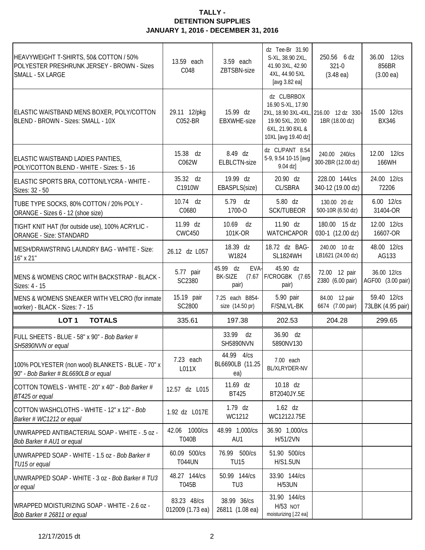| HEAVYWEIGHT T-SHIRTS, 50& COTTON / 50%<br>POLYESTER PRESHRUNK JERSEY - BROWN - Sizes<br>SMALL - 5X LARGE | 13.59 each<br>C048              | 3.59 each<br>ZBTSBN-size                       | dz Tee-Br 31.90<br>S-XL, 38.90 2XL,<br>41.90 3XL, 42.90<br>4XL, 44.90 5XL<br>[avg 3.82 ea]      | 250.56 6 dz<br>321-0<br>$(3.48 \text{ ea})$             | 36.00 12/cs<br>856BR<br>(3.00ea) |
|----------------------------------------------------------------------------------------------------------|---------------------------------|------------------------------------------------|-------------------------------------------------------------------------------------------------|---------------------------------------------------------|----------------------------------|
| ELASTIC WAISTBAND MENS BOXER, POLY/COTTON<br>BLEND - BROWN - Sizes: SMALL - 10X                          | 29.11 12/pkg<br>C052-BR         | 15.99 dz<br><b>EBXWHE-size</b>                 | dz CL/BRBOX<br>16.90 S-XL, 17.90<br>19.90 5XL, 20.90<br>6XL, 21.90 8XL &<br>10XL [avg 19.40 dz] | 2XL, 18.90 3XL-4XL, 216.00 12 dz 330-<br>1BR (18.00 dz) | 15.00 12/cs<br><b>BX346</b>      |
| ELASTIC WAISTBAND LADIES PANTIES,<br>POLY/COTTON BLEND - WHITE - Sizes: 5 - 16                           | 15.38 dz<br>C062W               | 8.49 dz<br><b>ELBLCTN-size</b>                 | dz CL/PANT 8.54<br>5-9, 9.54 10-15 [avg<br>9.04 dz]                                             | 240.00 240/cs<br>300-2BR (12.00 dz)                     | 12.00 12/cs<br>166WH             |
| ELASTIC SPORTS BRA, COTTON/LYCRA - WHITE -<br>Sizes: 32 - 50                                             | 35.32 dz<br>C1910W              | 19.99 dz<br>EBASPLS(size)                      | 20.90 dz<br><b>CL/SBRA</b>                                                                      | 228.00 144/cs<br>340-12 (19.00 dz)                      | 24.00 12/cs<br>72206             |
| TUBE TYPE SOCKS, 80% COTTON / 20% POLY -<br>ORANGE - Sizes 6 - 12 (shoe size)                            | 10.74 dz<br>C0680               | 5.79 dz<br>1700-O                              | 5.80 dz<br><b>SCK/TUBEOR</b>                                                                    | 130.00 20 dz<br>500-10R (6.50 dz)                       | 6.00 12/cs<br>31404-OR           |
| TIGHT KNIT HAT (for outside use), 100% ACRYLIC -<br><b>ORANGE - Size: STANDARD</b>                       | 11.99 dz<br><b>CWC450</b>       | 10.69 dz<br>101K-OR                            | 11.90 dz<br><b>WATCHCAPOR</b>                                                                   | 180.00 15 dz<br>030-1 (12.00 dz)                        | 12.00 12/cs<br>16607-OR          |
| MESH/DRAWSTRING LAUNDRY BAG - WHITE - Size:<br>16" x 21"                                                 | 26.12 dz L057                   | 18.39 dz<br>W1824                              | 18.72 dz BAG-<br><b>SL1824WH</b>                                                                | 240.00 10 dz<br>LB1621 (24.00 dz)                       | 48.00 12/cs<br>AG133             |
| MENS & WOMENS CROC WITH BACKSTRAP - BLACK -<br>Sizes: 4 - 15                                             | 5.77 pair<br>SC2380             | 45.99 dz<br>EVA-<br>BK-SIZE<br>(7.67)<br>pair) | 45.90 dz<br>F/CROGBK (7.65<br>pair)                                                             | 72.00 12 pair<br>2380 (6.00 pair)                       | 36.00 12/cs<br>AGF00 (3.00 pair) |
| MENS & WOMENS SNEAKER WITH VELCRO (for inmate<br>worker) - BLACK - Sizes: 7 - 15                         | 15.19 pair<br>SC2800            | 7.25 each B854-<br>size (14.50 pr)             | 5.90 pair<br>F/SNLVL-BK                                                                         | 84.00 12 pair<br>6674 (7.00 pair)                       | 59.40 12/cs<br>73LBK (4.95 pair) |
| LOT <sub>1</sub><br><b>TOTALS</b>                                                                        | 335.61                          | 197.38                                         | 202.53                                                                                          | 204.28                                                  | 299.65                           |
| FULL SHEETS - BLUE - 58" x 90" - Bob Barker #<br>SH5890NVN or equal                                      |                                 | 33.99 dz<br>SH5890NVN                          | 36.90 dz<br>5890NV130                                                                           |                                                         |                                  |
| 100% POLYESTER (non wool) BLANKETS - BLUE - 70" x<br>90" - Bob Barker # BL6690LB or equal                | 7.23 each<br>L011X              | 44.99 4/cs<br>BL6690LB (11.25<br>ea)           | 7.00 each<br>BL/XLRYDER-NV                                                                      |                                                         |                                  |
| COTTON TOWELS - WHITE - 20" x 40" - Bob Barker #<br>BT425 or equal                                       | 12.57 dz L015                   | 11.69 dz<br><b>BT425</b>                       | 10.18 dz<br>BT2040JY.5E                                                                         |                                                         |                                  |
| COTTON WASHCLOTHS - WHITE - 12" x 12" - Bob<br>Barker # WC1212 or equal                                  | 1.92 dz L017E                   | $1.79$ dz<br>WC1212                            | $1.62$ dz<br>WC1212J.75E                                                                        |                                                         |                                  |
| UNWRAPPED ANTIBACTERIAL SOAP - WHITE - .5 oz -<br>Bob Barker # AU1 or equal                              | 42.06 1000/cs<br><b>T040B</b>   | 48.99 1,000/cs<br>AU1                          | 36.90 1,000/cs<br>H/51/2VN                                                                      |                                                         |                                  |
| UNWRAPPED SOAP - WHITE - 1.5 oz - Bob Barker #<br>TU15 or equal                                          | 60.09 500/cs<br><b>T044UN</b>   | 76.99 500/cs<br><b>TU15</b>                    | 51.90 500/cs<br><b>H/S1.5UN</b>                                                                 |                                                         |                                  |
| UNWRAPPED SOAP - WHITE - 3 oz - Bob Barker # TU3<br>or equal                                             | 48.27 144/cs<br>T045B           | 50.99 144/cs<br>TU <sub>3</sub>                | 33.90 144/cs<br><b>H/53UN</b>                                                                   |                                                         |                                  |
| WRAPPED MOISTURIZING SOAP - WHITE - 2.6 oz -<br>Bob Barker # 26811 or equal                              | 83.23 48/cs<br>012009 (1.73 ea) | 38.99 36/cs<br>26811 (1.08 ea)                 | 31.90 144/cs<br><b>H/53 NOT</b><br>moisturizing [.22 ea]                                        |                                                         |                                  |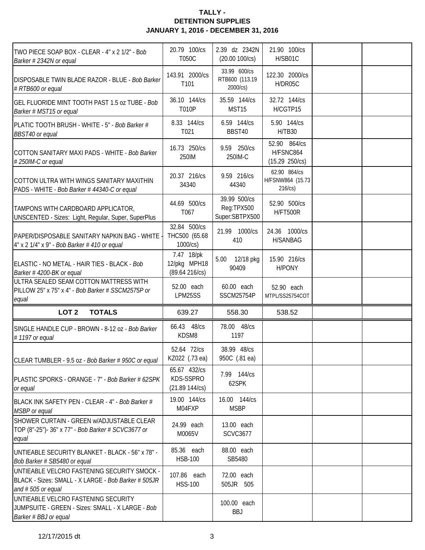| TWO PIECE SOAP BOX - CLEAR - 4" x 2 1/2" - Bob<br>Barker # 2342N or equal                                                  | 20.79 100/cs<br>T050C                        | 2.39 dz 2342N<br>$(20.00 100/\text{cs})$     | 21.90 100/cs<br>H/SB01C                     |  |
|----------------------------------------------------------------------------------------------------------------------------|----------------------------------------------|----------------------------------------------|---------------------------------------------|--|
| <b>DISPOSABLE TWIN BLADE RAZOR - BLUE - Bob Barker</b><br># RTB600 or equal                                                | 143.91 2000/cs<br>T101                       | 33.99 600/cs<br>RTB600 (113.19<br>2000/cs)   | 122.30 2000/cs<br>H/DR05C                   |  |
| GEL FLUORIDE MINT TOOTH PAST 1.5 oz TUBE - Bob<br>Barker # MST15 or equal                                                  | 36.10 144/cs<br>T010P                        | 35.59 144/cs<br>MST15                        | 32.72 144/cs<br>H/CGTP15                    |  |
| PLATIC TOOTH BRUSH - WHITE - 5" - Bob Barker #<br>BBST40 or equal                                                          | 8.33 144/cs<br>T021                          | 6.59 144/cs<br>BBST40                        | 5.90 144/cs<br>H/TB30                       |  |
| COTTON SANITARY MAXI PADS - WHITE - Bob Barker<br>#250IM-C or equal                                                        | 16.73 250/cs<br>250IM                        | 9.59 250/cs<br>250IM-C                       | 52.90 864/cs<br>H/FSNC864<br>(15.29 250/cs) |  |
| COTTON ULTRA WITH WINGS SANITARY MAXITHIN<br>PADS - WHITE - Bob Barker # 44340-C or equal                                  | 20.37 216/cs<br>34340                        | 9.59 216/cs<br>44340                         | 62.90 864/cs<br>H/FSNW864 (15.73<br>216/cs  |  |
| TAMPONS WITH CARDBOARD APPLICATOR,<br>UNSCENTED - Sizes: Light, Regular, Super, SuperPlus                                  | 44.69 500/cs<br>T067                         | 39.99 500/cs<br>Reg:TPX500<br>Super:SBTPX500 | 52.90 500/cs<br><b>H/FT500R</b>             |  |
| PAPER/DISPOSABLE SANITARY NAPKIN BAG - WHITE<br>4" x 2 1/4" x 9" - Bob Barker # 410 or equal                               | 32.84 500/cs<br>THC500 (65.68<br>1000/cs)    | 21.99 1000/cs<br>410                         | 24.36 1000/cs<br><b>H/SANBAG</b>            |  |
| ELASTIC - NO METAL - HAIR TIES - BLACK - Bob<br>Barker #4200-BK or equal                                                   | 7.47 18/pk<br>12/pkg MPH18<br>(89.64 216/cs) | 5.00 12/18 pkg<br>90409                      | 15.90 216/cs<br><b>H/PONY</b>               |  |
| ULTRA SEALED SEAM COTTON MATTRESS WITH<br>PILLOW 25" x 75" x 4" - Bob Barker # SSCM2575P or<br>equal                       | 52.00 each<br>LPM25SS                        | 60.00 each<br><b>SSCM25754P</b>              | 52.90 each<br>MTPL/SS25754COT               |  |
| LOT <sub>2</sub><br><b>TOTALS</b>                                                                                          | 639.27                                       | 558.30                                       | 538.52                                      |  |
| SINGLE HANDLE CUP - BROWN - 8-12 oz - Bob Barker<br>#1197 or equal                                                         | 66.43 48/cs<br>KDSM8                         | 78.00 48/cs<br>1197                          |                                             |  |
| CLEAR TUMBLER - 9.5 oz - Bob Barker # 950C or equal                                                                        | 52.64 72/cs                                  | 38.99 48/cs                                  |                                             |  |
|                                                                                                                            | KZ022 (.73 ea)                               | 950C (.81 ea)                                |                                             |  |
| PLASTIC SPORKS - ORANGE - 7" - Bob Barker # 62SPK<br>or equal                                                              | 65.67 432/cs<br>KDS-SSPRO<br>(21.89 144/cs)  | 7.99 144/cs<br>62SPK                         |                                             |  |
| BLACK INK SAFETY PEN - CLEAR - 4" - Bob Barker #<br>MSBP or equal                                                          | 19.00 144/cs<br>M04FXP                       | 16.00 144/cs<br><b>MSBP</b>                  |                                             |  |
| SHOWER CURTAIN - GREEN w/ADJUSTABLE CLEAR<br>TOP (8"-25")- 36" x 77" - Bob Barker # SCVC3677 or<br>equal                   | 24.99 each<br>M0065V                         | 13.00 each<br><b>SCVC3677</b>                |                                             |  |
| UNTIEABLE SECURITY BLANKET - BLACK - 56" x 78" -<br>Bob Barker # SB5480 or equal                                           | 85.36 each<br><b>HSB-100</b>                 | 88.00 each<br>SB5480                         |                                             |  |
| UNTIEABLE VELCRO FASTENING SECURITY SMOCK -<br>BLACK - Sizes: SMALL - X LARGE - Bob Barker # 505JR<br>and $# 505$ or equal | 107.86 each<br><b>HSS-100</b>                | 72.00 each<br>505JR 505                      |                                             |  |